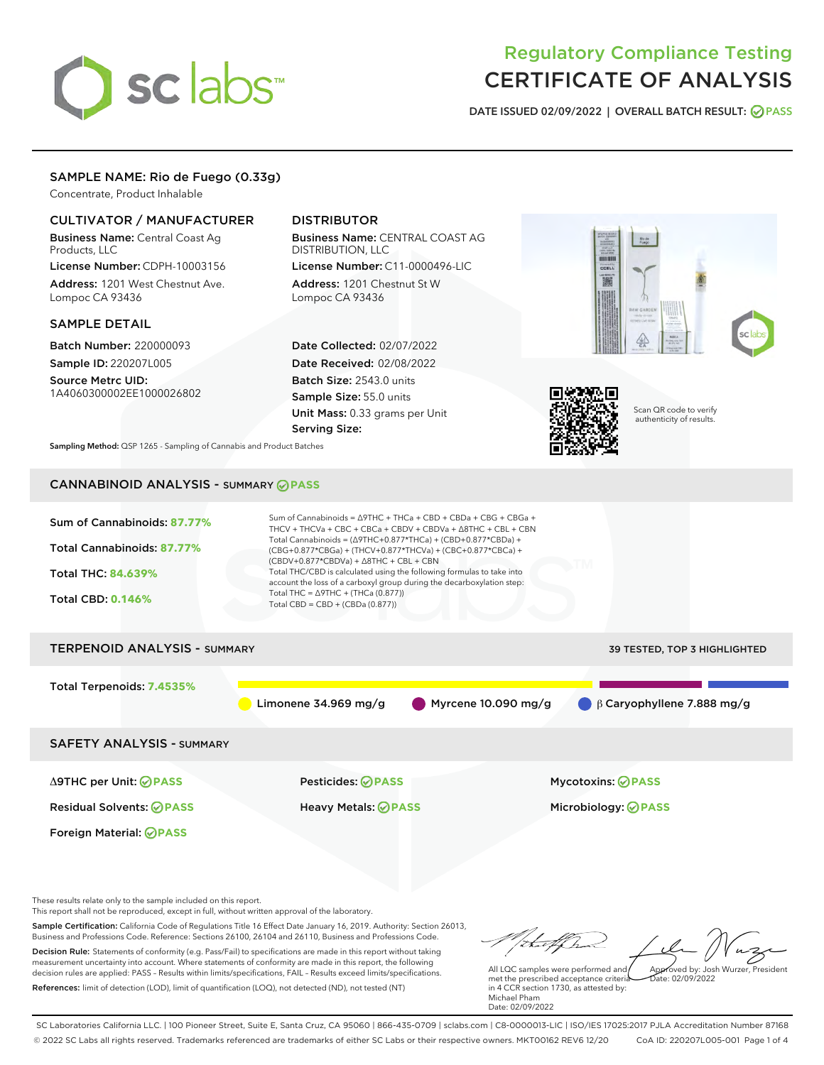# sclabs

# Regulatory Compliance Testing CERTIFICATE OF ANALYSIS

DATE ISSUED 02/09/2022 | OVERALL BATCH RESULT: @ PASS

# SAMPLE NAME: Rio de Fuego (0.33g)

Concentrate, Product Inhalable

# CULTIVATOR / MANUFACTURER

Business Name: Central Coast Ag Products, LLC

License Number: CDPH-10003156 Address: 1201 West Chestnut Ave. Lompoc CA 93436

### SAMPLE DETAIL

Batch Number: 220000093 Sample ID: 220207L005

Source Metrc UID: 1A4060300002EE1000026802

# DISTRIBUTOR

Business Name: CENTRAL COAST AG DISTRIBUTION, LLC License Number: C11-0000496-LIC

Address: 1201 Chestnut St W Lompoc CA 93436

Date Collected: 02/07/2022 Date Received: 02/08/2022 Batch Size: 2543.0 units Sample Size: 55.0 units Unit Mass: 0.33 grams per Unit Serving Size:





Scan QR code to verify authenticity of results.

Sampling Method: QSP 1265 - Sampling of Cannabis and Product Batches

# CANNABINOID ANALYSIS - SUMMARY **PASS**



These results relate only to the sample included on this report.

This report shall not be reproduced, except in full, without written approval of the laboratory.

Sample Certification: California Code of Regulations Title 16 Effect Date January 16, 2019. Authority: Section 26013, Business and Professions Code. Reference: Sections 26100, 26104 and 26110, Business and Professions Code. Decision Rule: Statements of conformity (e.g. Pass/Fail) to specifications are made in this report without taking measurement uncertainty into account. Where statements of conformity are made in this report, the following decision rules are applied: PASS – Results within limits/specifications, FAIL – Results exceed limits/specifications.

References: limit of detection (LOD), limit of quantification (LOQ), not detected (ND), not tested (NT)

tu et f. h Approved by: Josh Wurzer, President

 $\frac{1}{2}$  02/09/2022

All LQC samples were performed and met the prescribed acceptance criteria in 4 CCR section 1730, as attested by: Michael Pham Date: 02/09/2022

SC Laboratories California LLC. | 100 Pioneer Street, Suite E, Santa Cruz, CA 95060 | 866-435-0709 | sclabs.com | C8-0000013-LIC | ISO/IES 17025:2017 PJLA Accreditation Number 87168 © 2022 SC Labs all rights reserved. Trademarks referenced are trademarks of either SC Labs or their respective owners. MKT00162 REV6 12/20 CoA ID: 220207L005-001 Page 1 of 4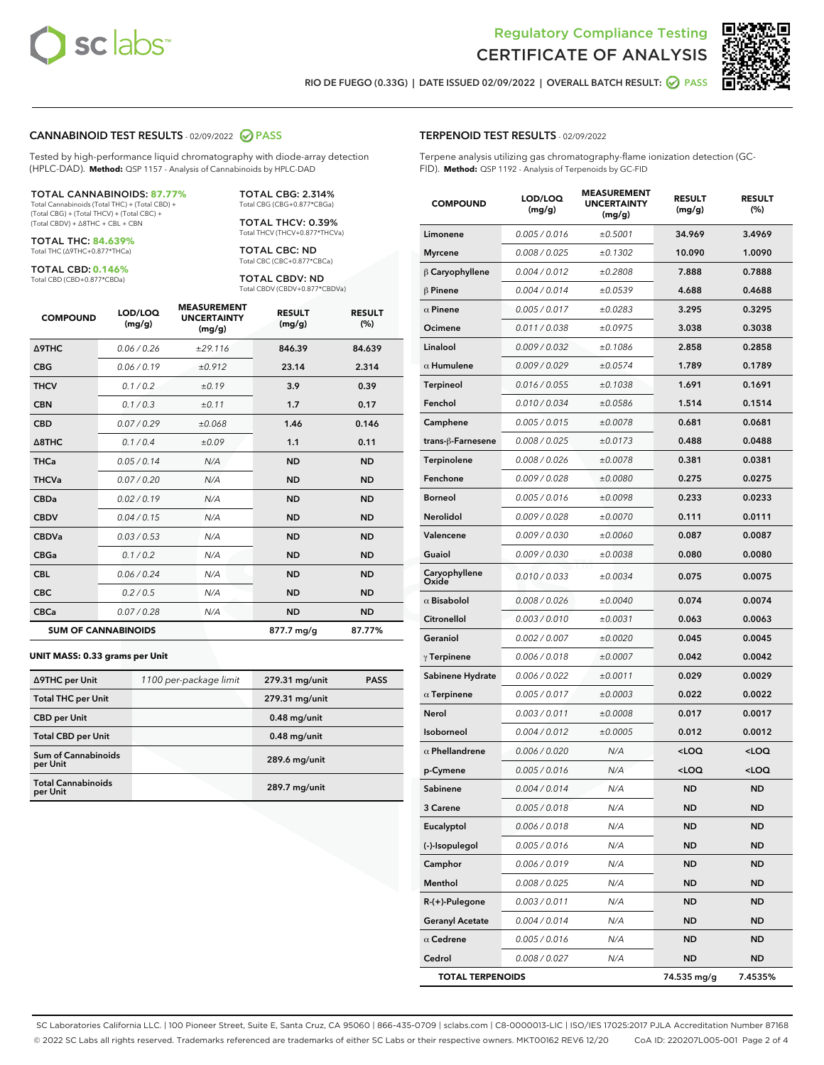



RIO DE FUEGO (0.33G) | DATE ISSUED 02/09/2022 | OVERALL BATCH RESULT: 2 PASS

#### CANNABINOID TEST RESULTS - 02/09/2022 2 PASS

Tested by high-performance liquid chromatography with diode-array detection (HPLC-DAD). **Method:** QSP 1157 - Analysis of Cannabinoids by HPLC-DAD

#### TOTAL CANNABINOIDS: **87.77%**

Total Cannabinoids (Total THC) + (Total CBD) + (Total CBG) + (Total THCV) + (Total CBC) + (Total CBDV) + ∆8THC + CBL + CBN

TOTAL THC: **84.639%** Total THC (∆9THC+0.877\*THCa)

TOTAL CBD: **0.146%** Total CBD (CBD+0.877\*CBDa)

Total THCV (THCV+0.877\*THCVa)

TOTAL CBG: 2.314% Total CBG (CBG+0.877\*CBGa) TOTAL THCV: 0.39%

TOTAL CBC: ND Total CBC (CBC+0.877\*CBCa)

TOTAL CBDV: ND Total CBDV (CBDV+0.877\*CBDVa)

| <b>COMPOUND</b>            | LOD/LOQ<br>(mg/g) | <b>MEASUREMENT</b><br><b>UNCERTAINTY</b><br>(mg/g) | <b>RESULT</b><br>(mg/g) | <b>RESULT</b><br>(%) |
|----------------------------|-------------------|----------------------------------------------------|-------------------------|----------------------|
| <b>A9THC</b>               | 0.06/0.26         | ±29.116                                            | 846.39                  | 84.639               |
| <b>CBG</b>                 | 0.06/0.19         | ±0.912                                             | 23.14                   | 2.314                |
| <b>THCV</b>                | 0.1 / 0.2         | ±0.19                                              | 3.9                     | 0.39                 |
| <b>CBN</b>                 | 0.1/0.3           | ±0.11                                              | 1.7                     | 0.17                 |
| <b>CBD</b>                 | 0.07/0.29         | ±0.068                                             | 1.46                    | 0.146                |
| $\triangle$ 8THC           | 0.1/0.4           | ±0.09                                              | 1.1                     | 0.11                 |
| <b>THCa</b>                | 0.05/0.14         | N/A                                                | <b>ND</b>               | <b>ND</b>            |
| <b>THCVa</b>               | 0.07 / 0.20       | N/A                                                | <b>ND</b>               | <b>ND</b>            |
| <b>CBDa</b>                | 0.02/0.19         | N/A                                                | <b>ND</b>               | <b>ND</b>            |
| <b>CBDV</b>                | 0.04 / 0.15       | N/A                                                | <b>ND</b>               | <b>ND</b>            |
| <b>CBDVa</b>               | 0.03/0.53         | N/A                                                | <b>ND</b>               | <b>ND</b>            |
| <b>CBGa</b>                | 0.1 / 0.2         | N/A                                                | <b>ND</b>               | <b>ND</b>            |
| <b>CBL</b>                 | 0.06/0.24         | N/A                                                | <b>ND</b>               | <b>ND</b>            |
| <b>CBC</b>                 | 0.2 / 0.5         | N/A                                                | <b>ND</b>               | <b>ND</b>            |
| <b>CBCa</b>                | 0.07/0.28         | N/A                                                | <b>ND</b>               | <b>ND</b>            |
| <b>SUM OF CANNABINOIDS</b> |                   |                                                    | 877.7 mg/g              | 87.77%               |

#### **UNIT MASS: 0.33 grams per Unit**

| ∆9THC per Unit                         | 1100 per-package limit | 279.31 mg/unit  | <b>PASS</b> |
|----------------------------------------|------------------------|-----------------|-------------|
| <b>Total THC per Unit</b>              |                        | 279.31 mg/unit  |             |
| <b>CBD</b> per Unit                    |                        | $0.48$ mg/unit  |             |
| <b>Total CBD per Unit</b>              |                        | $0.48$ mg/unit  |             |
| <b>Sum of Cannabinoids</b><br>per Unit |                        | 289.6 mg/unit   |             |
| <b>Total Cannabinoids</b><br>per Unit  |                        | $289.7$ mg/unit |             |

| <b>COMPOUND</b>         | LOD/LOQ<br>(mg/g) | <b>MEASUREMENT</b><br><b>UNCERTAINTY</b><br>(mg/g) | <b>RESULT</b><br>(mg/g)                         | <b>RESULT</b><br>$(\%)$ |
|-------------------------|-------------------|----------------------------------------------------|-------------------------------------------------|-------------------------|
| Limonene                | 0.005 / 0.016     | ±0.5001                                            | 34.969                                          | 3.4969                  |
| <b>Myrcene</b>          | 0.008 / 0.025     | ±0.1302                                            | 10.090                                          | 1.0090                  |
| $\upbeta$ Caryophyllene | 0.004 / 0.012     | ±0.2808                                            | 7.888                                           | 0.7888                  |
| $\beta$ Pinene          | 0.004 / 0.014     | ±0.0539                                            | 4.688                                           | 0.4688                  |
| $\alpha$ Pinene         | 0.005 / 0.017     | ±0.0283                                            | 3.295                                           | 0.3295                  |
| Ocimene                 | 0.011 / 0.038     | ±0.0975                                            | 3.038                                           | 0.3038                  |
| Linalool                | 0.009 / 0.032     | ±0.1086                                            | 2.858                                           | 0.2858                  |
| $\alpha$ Humulene       | 0.009 / 0.029     | ±0.0574                                            | 1.789                                           | 0.1789                  |
| Terpineol               | 0.016 / 0.055     | ±0.1038                                            | 1.691                                           | 0.1691                  |
| Fenchol                 | 0.010 / 0.034     | ±0.0586                                            | 1.514                                           | 0.1514                  |
| Camphene                | 0.005 / 0.015     | ±0.0078                                            | 0.681                                           | 0.0681                  |
| trans-ß-Farnesene       | 0.008 / 0.025     | ±0.0173                                            | 0.488                                           | 0.0488                  |
| Terpinolene             | 0.008 / 0.026     | ±0.0078                                            | 0.381                                           | 0.0381                  |
| Fenchone                | 0.009 / 0.028     | ±0.0080                                            | 0.275                                           | 0.0275                  |
| <b>Borneol</b>          | 0.005 / 0.016     | ±0.0098                                            | 0.233                                           | 0.0233                  |
| <b>Nerolidol</b>        | 0.009 / 0.028     | ±0.0070                                            | 0.111                                           | 0.0111                  |
| Valencene               | 0.009 / 0.030     | ±0.0060                                            | 0.087                                           | 0.0087                  |
| Guaiol                  | 0.009 / 0.030     | ±0.0038                                            | 0.080                                           | 0.0080                  |
| Caryophyllene<br>Oxide  | 0.010 / 0.033     | ±0.0034                                            | 0.075                                           | 0.0075                  |
| $\alpha$ Bisabolol      | 0.008 / 0.026     | ±0.0040                                            | 0.074                                           | 0.0074                  |
| Citronellol             | 0.003 / 0.010     | ±0.0031                                            | 0.063                                           | 0.0063                  |
| Geraniol                | 0.002 / 0.007     | ±0.0020                                            | 0.045                                           | 0.0045                  |
| $\gamma$ Terpinene      | 0.006 / 0.018     | ±0.0007                                            | 0.042                                           | 0.0042                  |
| Sabinene Hydrate        | 0.006 / 0.022     | ±0.0011                                            | 0.029                                           | 0.0029                  |
| $\alpha$ Terpinene      | 0.005 / 0.017     | ±0.0003                                            | 0.022                                           | 0.0022                  |
| Nerol                   | 0.003 / 0.011     | ±0.0008                                            | 0.017                                           | 0.0017                  |
| Isoborneol              | 0.004 / 0.012     | ±0.0005                                            | 0.012                                           | 0.0012                  |
| $\alpha$ Phellandrene   | 0.006 / 0.020     | N/A                                                | <loq< th=""><th><loq< th=""></loq<></th></loq<> | <loq< th=""></loq<>     |
| p-Cymene                | 0.005 / 0.016     | N/A                                                | <loq< th=""><th><loq< th=""></loq<></th></loq<> | <loq< th=""></loq<>     |
| Sabinene                | 0.004 / 0.014     | N/A                                                | ND                                              | <b>ND</b>               |
| 3 Carene                | 0.005 / 0.018     | N/A                                                | ND                                              | ND                      |
| Eucalyptol              | 0.006 / 0.018     | N/A                                                | ND                                              | ND                      |
| (-)-Isopulegol          | 0.005 / 0.016     | N/A                                                | ND                                              | <b>ND</b>               |
| Camphor                 | 0.006 / 0.019     | N/A                                                | ND                                              | ND                      |
| Menthol                 | 0.008 / 0.025     | N/A                                                | ND                                              | ND                      |
| R-(+)-Pulegone          | 0.003 / 0.011     | N/A                                                | ND                                              | <b>ND</b>               |
| <b>Geranyl Acetate</b>  | 0.004 / 0.014     | N/A                                                | ND                                              | ND                      |
| $\alpha$ Cedrene        | 0.005 / 0.016     | N/A                                                | ND                                              | ND                      |
| Cedrol                  | 0.008 / 0.027     | N/A                                                | <b>ND</b>                                       | <b>ND</b>               |
| <b>TOTAL TERPENOIDS</b> |                   |                                                    | 74.535 mg/g                                     | 7.4535%                 |

SC Laboratories California LLC. | 100 Pioneer Street, Suite E, Santa Cruz, CA 95060 | 866-435-0709 | sclabs.com | C8-0000013-LIC | ISO/IES 17025:2017 PJLA Accreditation Number 87168 © 2022 SC Labs all rights reserved. Trademarks referenced are trademarks of either SC Labs or their respective owners. MKT00162 REV6 12/20 CoA ID: 220207L005-001 Page 2 of 4

# TERPENOID TEST RESULTS - 02/09/2022

Terpene analysis utilizing gas chromatography-flame ionization detection (GC-FID). **Method:** QSP 1192 - Analysis of Terpenoids by GC-FID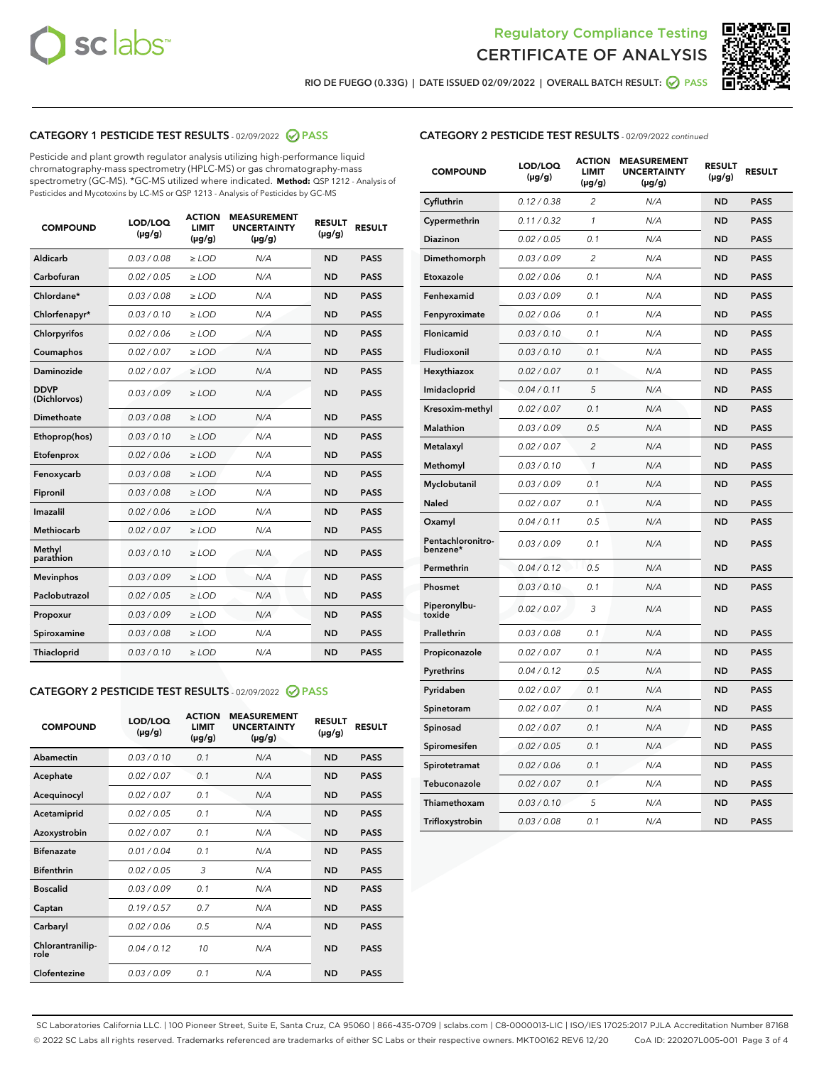



RIO DE FUEGO (0.33G) | DATE ISSUED 02/09/2022 | OVERALL BATCH RESULT:  $\bigcirc$  PASS

# CATEGORY 1 PESTICIDE TEST RESULTS - 02/09/2022 2 PASS

Pesticide and plant growth regulator analysis utilizing high-performance liquid chromatography-mass spectrometry (HPLC-MS) or gas chromatography-mass spectrometry (GC-MS). \*GC-MS utilized where indicated. **Method:** QSP 1212 - Analysis of Pesticides and Mycotoxins by LC-MS or QSP 1213 - Analysis of Pesticides by GC-MS

| <b>COMPOUND</b>             | LOD/LOQ<br>$(\mu g/g)$ | <b>ACTION</b><br><b>LIMIT</b><br>$(\mu g/g)$ | <b>MEASUREMENT</b><br><b>UNCERTAINTY</b><br>$(\mu g/g)$ | <b>RESULT</b><br>$(\mu g/g)$ | <b>RESULT</b> |
|-----------------------------|------------------------|----------------------------------------------|---------------------------------------------------------|------------------------------|---------------|
| Aldicarb                    | 0.03/0.08              | $>$ LOD                                      | N/A                                                     | <b>ND</b>                    | <b>PASS</b>   |
| Carbofuran                  | 0.02 / 0.05            | $\ge$ LOD                                    | N/A                                                     | <b>ND</b>                    | <b>PASS</b>   |
| Chlordane*                  | 0.03/0.08              | $>$ LOD                                      | N/A                                                     | <b>ND</b>                    | <b>PASS</b>   |
| Chlorfenapyr*               | 0.03/0.10              | $\ge$ LOD                                    | N/A                                                     | <b>ND</b>                    | <b>PASS</b>   |
| Chlorpyrifos                | 0.02 / 0.06            | $\ge$ LOD                                    | N/A                                                     | <b>ND</b>                    | <b>PASS</b>   |
| Coumaphos                   | 0.02 / 0.07            | $\ge$ LOD                                    | N/A                                                     | <b>ND</b>                    | <b>PASS</b>   |
| Daminozide                  | 0.02 / 0.07            | $\ge$ LOD                                    | N/A                                                     | <b>ND</b>                    | <b>PASS</b>   |
| <b>DDVP</b><br>(Dichlorvos) | 0.03/0.09              | $\ge$ LOD                                    | N/A                                                     | <b>ND</b>                    | <b>PASS</b>   |
| <b>Dimethoate</b>           | 0.03 / 0.08            | $\ge$ LOD                                    | N/A                                                     | <b>ND</b>                    | <b>PASS</b>   |
| Ethoprop(hos)               | 0.03/0.10              | $\ge$ LOD                                    | N/A                                                     | <b>ND</b>                    | <b>PASS</b>   |
| Etofenprox                  | 0.02 / 0.06            | $\ge$ LOD                                    | N/A                                                     | <b>ND</b>                    | <b>PASS</b>   |
| Fenoxycarb                  | 0.03 / 0.08            | $\ge$ LOD                                    | N/A                                                     | <b>ND</b>                    | <b>PASS</b>   |
| Fipronil                    | 0.03/0.08              | $>$ LOD                                      | N/A                                                     | <b>ND</b>                    | <b>PASS</b>   |
| Imazalil                    | 0.02 / 0.06            | $\ge$ LOD                                    | N/A                                                     | <b>ND</b>                    | <b>PASS</b>   |
| Methiocarb                  | 0.02 / 0.07            | $\ge$ LOD                                    | N/A                                                     | <b>ND</b>                    | <b>PASS</b>   |
| Methyl<br>parathion         | 0.03/0.10              | $\ge$ LOD                                    | N/A                                                     | <b>ND</b>                    | <b>PASS</b>   |
| <b>Mevinphos</b>            | 0.03/0.09              | $\ge$ LOD                                    | N/A                                                     | <b>ND</b>                    | <b>PASS</b>   |
| Paclobutrazol               | 0.02 / 0.05            | $>$ LOD                                      | N/A                                                     | <b>ND</b>                    | <b>PASS</b>   |
| Propoxur                    | 0.03/0.09              | $\ge$ LOD                                    | N/A                                                     | <b>ND</b>                    | <b>PASS</b>   |
| Spiroxamine                 | 0.03 / 0.08            | $\ge$ LOD                                    | N/A                                                     | <b>ND</b>                    | <b>PASS</b>   |
| Thiacloprid                 | 0.03/0.10              | $\ge$ LOD                                    | N/A                                                     | <b>ND</b>                    | <b>PASS</b>   |

#### CATEGORY 2 PESTICIDE TEST RESULTS - 02/09/2022 2 PASS

| <b>COMPOUND</b>          | LOD/LOO<br>$(\mu g/g)$ | <b>ACTION</b><br>LIMIT<br>$(\mu g/g)$ | <b>MEASUREMENT</b><br><b>UNCERTAINTY</b><br>$(\mu g/g)$ | <b>RESULT</b><br>$(\mu g/g)$ | <b>RESULT</b> |
|--------------------------|------------------------|---------------------------------------|---------------------------------------------------------|------------------------------|---------------|
| Abamectin                | 0.03/0.10              | 0.1                                   | N/A                                                     | <b>ND</b>                    | <b>PASS</b>   |
| Acephate                 | 0.02/0.07              | 0.1                                   | N/A                                                     | <b>ND</b>                    | <b>PASS</b>   |
| Acequinocyl              | 0.02/0.07              | 0.1                                   | N/A                                                     | <b>ND</b>                    | <b>PASS</b>   |
| Acetamiprid              | 0.02/0.05              | 0.1                                   | N/A                                                     | <b>ND</b>                    | <b>PASS</b>   |
| Azoxystrobin             | 0.02/0.07              | 0.1                                   | N/A                                                     | <b>ND</b>                    | <b>PASS</b>   |
| <b>Bifenazate</b>        | 0.01 / 0.04            | 0.1                                   | N/A                                                     | <b>ND</b>                    | <b>PASS</b>   |
| <b>Bifenthrin</b>        | 0.02 / 0.05            | 3                                     | N/A                                                     | <b>ND</b>                    | <b>PASS</b>   |
| <b>Boscalid</b>          | 0.03/0.09              | 0.1                                   | N/A                                                     | <b>ND</b>                    | <b>PASS</b>   |
| Captan                   | 0.19/0.57              | 0.7                                   | N/A                                                     | <b>ND</b>                    | <b>PASS</b>   |
| Carbaryl                 | 0.02/0.06              | 0.5                                   | N/A                                                     | <b>ND</b>                    | <b>PASS</b>   |
| Chlorantranilip-<br>role | 0.04/0.12              | 10                                    | N/A                                                     | <b>ND</b>                    | <b>PASS</b>   |
| Clofentezine             | 0.03/0.09              | 0.1                                   | N/A                                                     | <b>ND</b>                    | <b>PASS</b>   |

| <b>CATEGORY 2 PESTICIDE TEST RESULTS</b> - 02/09/2022 continued |  |
|-----------------------------------------------------------------|--|
|-----------------------------------------------------------------|--|

| <b>COMPOUND</b>               | LOD/LOQ<br>(µg/g) | <b>ACTION</b><br>LIMIT<br>$(\mu g/g)$ | <b>MEASUREMENT</b><br><b>UNCERTAINTY</b><br>$(\mu g/g)$ | <b>RESULT</b><br>(µg/g) | <b>RESULT</b> |
|-------------------------------|-------------------|---------------------------------------|---------------------------------------------------------|-------------------------|---------------|
| Cyfluthrin                    | 0.12 / 0.38       | 2                                     | N/A                                                     | <b>ND</b>               | <b>PASS</b>   |
| Cypermethrin                  | 0.11 / 0.32       | 1                                     | N/A                                                     | <b>ND</b>               | <b>PASS</b>   |
| Diazinon                      | 0.02 / 0.05       | 0.1                                   | N/A                                                     | ND                      | PASS          |
| Dimethomorph                  | 0.03 / 0.09       | 2                                     | N/A                                                     | <b>ND</b>               | <b>PASS</b>   |
| Etoxazole                     | 0.02 / 0.06       | 0.1                                   | N/A                                                     | ND                      | <b>PASS</b>   |
| Fenhexamid                    | 0.03 / 0.09       | 0.1                                   | N/A                                                     | ND                      | <b>PASS</b>   |
| Fenpyroximate                 | 0.02 / 0.06       | 0.1                                   | N/A                                                     | <b>ND</b>               | <b>PASS</b>   |
| Flonicamid                    | 0.03 / 0.10       | 0.1                                   | N/A                                                     | <b>ND</b>               | <b>PASS</b>   |
| Fludioxonil                   | 0.03 / 0.10       | 0.1                                   | N/A                                                     | <b>ND</b>               | <b>PASS</b>   |
| Hexythiazox                   | 0.02 / 0.07       | 0.1                                   | N/A                                                     | ND                      | <b>PASS</b>   |
| Imidacloprid                  | 0.04 / 0.11       | 5                                     | N/A                                                     | <b>ND</b>               | <b>PASS</b>   |
| Kresoxim-methyl               | 0.02 / 0.07       | 0.1                                   | N/A                                                     | ND                      | <b>PASS</b>   |
| Malathion                     | 0.03 / 0.09       | 0.5                                   | N/A                                                     | ND                      | <b>PASS</b>   |
| Metalaxyl                     | 0.02 / 0.07       | $\overline{2}$                        | N/A                                                     | <b>ND</b>               | <b>PASS</b>   |
| Methomyl                      | 0.03 / 0.10       | 1                                     | N/A                                                     | <b>ND</b>               | <b>PASS</b>   |
| Myclobutanil                  | 0.03 / 0.09       | 0.1                                   | N/A                                                     | ND                      | <b>PASS</b>   |
| <b>Naled</b>                  | 0.02 / 0.07       | 0.1                                   | N/A                                                     | ND                      | <b>PASS</b>   |
| Oxamyl                        | 0.04 / 0.11       | 0.5                                   | N/A                                                     | ND                      | <b>PASS</b>   |
| Pentachloronitro-<br>benzene* | 0.03/0.09         | 0.1                                   | N/A                                                     | ND                      | <b>PASS</b>   |
| Permethrin                    | 0.04 / 0.12       | 0.5                                   | N/A                                                     | ND                      | <b>PASS</b>   |
| Phosmet                       | 0.03 / 0.10       | 0.1                                   | N/A                                                     | <b>ND</b>               | <b>PASS</b>   |
| Piperonylbu-<br>toxide        | 0.02 / 0.07       | 3                                     | N/A                                                     | ND                      | <b>PASS</b>   |
| Prallethrin                   | 0.03 / 0.08       | 0.1                                   | N/A                                                     | <b>ND</b>               | <b>PASS</b>   |
| Propiconazole                 | 0.02 / 0.07       | 0.1                                   | N/A                                                     | ND                      | <b>PASS</b>   |
| Pyrethrins                    | 0.04 / 0.12       | 0.5                                   | N/A                                                     | ND                      | <b>PASS</b>   |
| Pyridaben                     | 0.02 / 0.07       | 0.1                                   | N/A                                                     | ND                      | <b>PASS</b>   |
| Spinetoram                    | 0.02 / 0.07       | 0.1                                   | N/A                                                     | ND                      | <b>PASS</b>   |
| Spinosad                      | 0.02 / 0.07       | 0.1                                   | N/A                                                     | ND                      | <b>PASS</b>   |
| Spiromesifen                  | 0.02 / 0.05       | 0.1                                   | N/A                                                     | ND                      | <b>PASS</b>   |
| Spirotetramat                 | 0.02 / 0.06       | 0.1                                   | N/A                                                     | ND                      | <b>PASS</b>   |
| Tebuconazole                  | 0.02 / 0.07       | 0.1                                   | N/A                                                     | ND                      | <b>PASS</b>   |
| Thiamethoxam                  | 0.03 / 0.10       | 5                                     | N/A                                                     | ND                      | <b>PASS</b>   |
| Trifloxystrobin               | 0.03 / 0.08       | 0.1                                   | N/A                                                     | ND                      | <b>PASS</b>   |

SC Laboratories California LLC. | 100 Pioneer Street, Suite E, Santa Cruz, CA 95060 | 866-435-0709 | sclabs.com | C8-0000013-LIC | ISO/IES 17025:2017 PJLA Accreditation Number 87168 © 2022 SC Labs all rights reserved. Trademarks referenced are trademarks of either SC Labs or their respective owners. MKT00162 REV6 12/20 CoA ID: 220207L005-001 Page 3 of 4